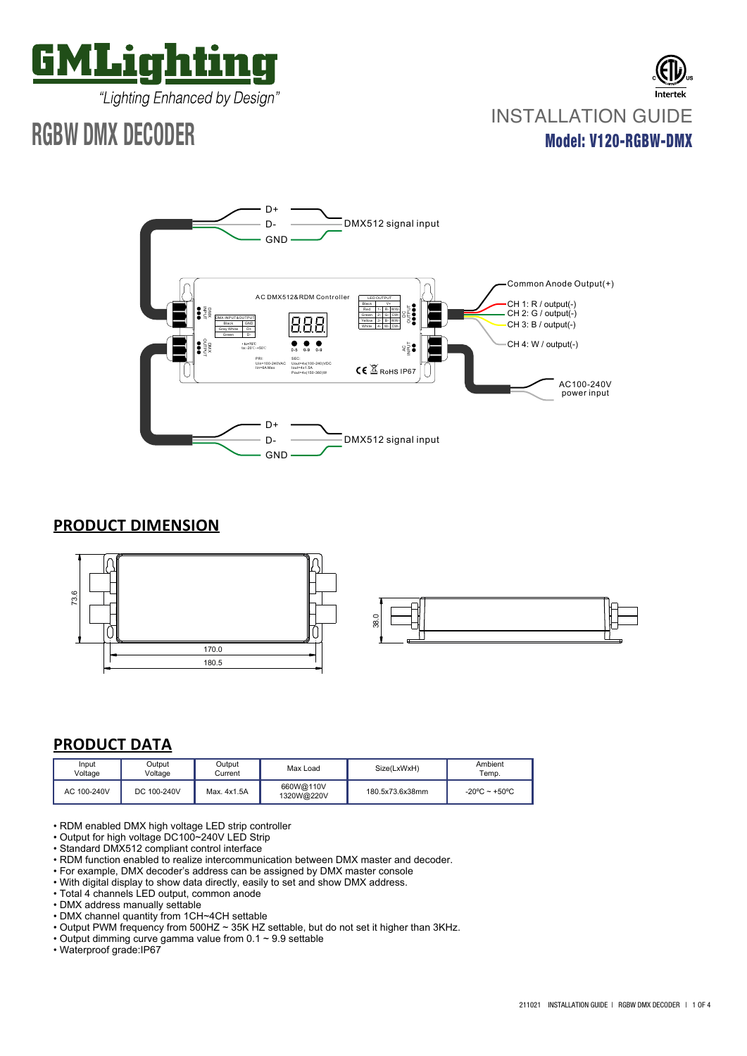

"Lighting Enhanced by Design"

# **RGBW DMX DECODER**





# **PRODUCT DIMENSION**



# **PRODUCT DATA**

| Input<br>Voltage | Output<br>Voltage | Output<br>Current | Max Load                | Size(LxWxH)     | Ambient<br>Temp.                  |
|------------------|-------------------|-------------------|-------------------------|-----------------|-----------------------------------|
| AC 100-240V      | DC 100-240V       | Max. 4x1.5A       | 660W@110V<br>1320W@220V | 180.5x73.6x38mm | $-20^{\circ}$ C ~ $+50^{\circ}$ C |

- RDM enabled DMX high voltage LED strip controller
- Output for high voltage DC100~240V LED Strip
- Standard DMX512 compliant control interface
- RDM function enabled to realize intercommunication between DMX master and decoder.
- For example, DMX decoder's address can be assigned by DMX master console
- With digital display to show data directly, easily to set and show DMX address.
- Total 4 channels LED output, common anode
- DMX address manually settable
- DMX channel quantity from 1CH~4CH settable
- Output PWM frequency from 500HZ ~ 35K HZ settable, but do not set it higher than 3KHz.
- Output dimming curve gamma value from 0.1 ~ 9.9 settable
- Waterproof grade:IP67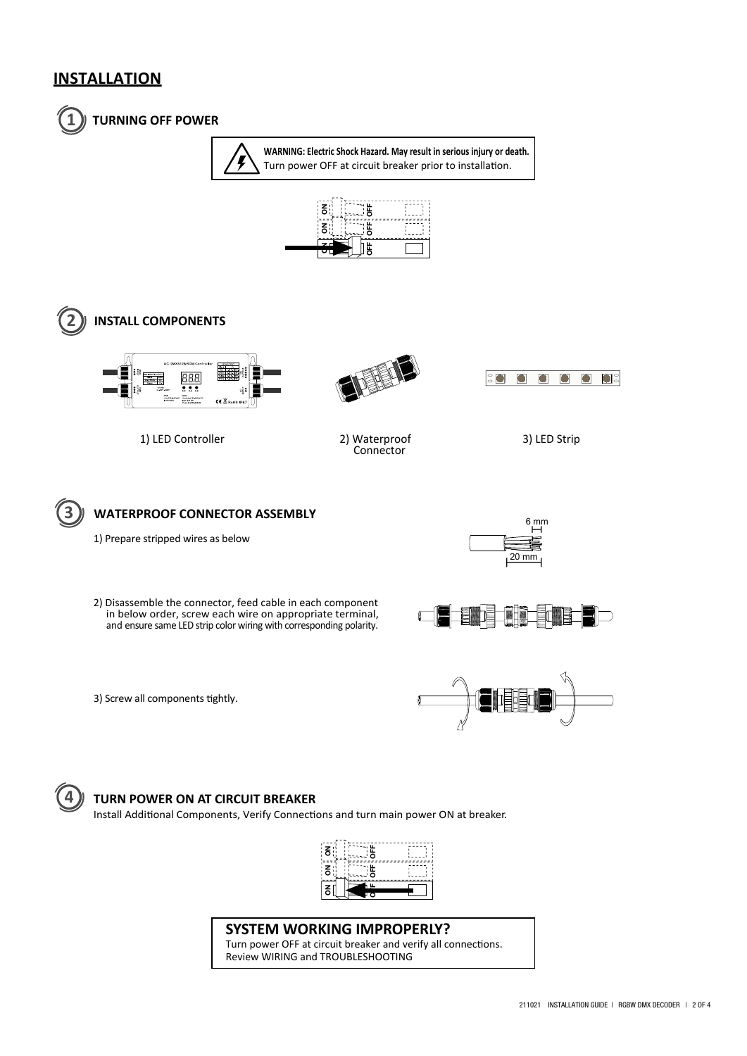## **INSTALLATION**



### **1 TURNING OFF POWER**

**WARNING: Electric Shock Hazard. May result in serious injury or death.** Turn power OFF at circuit breaker prior to installation.

















1) Prepare stripped wires as below



2) Disassemble the connector, feed cable in each component in below order, screw each wire on appropriate terminal, and ensure same LED strip color wiring with corresponding polarity.









### **4 TURN POWER ON AT CIRCUIT BREAKER**

Install Additional Components, Verify Connections and turn main power ON at breaker.



### **SYSTEM WORKING IMPROPERLY?**

Turn power OFF at circuit breaker and verify all connections. Review WIRING and TROUBLESHOOTING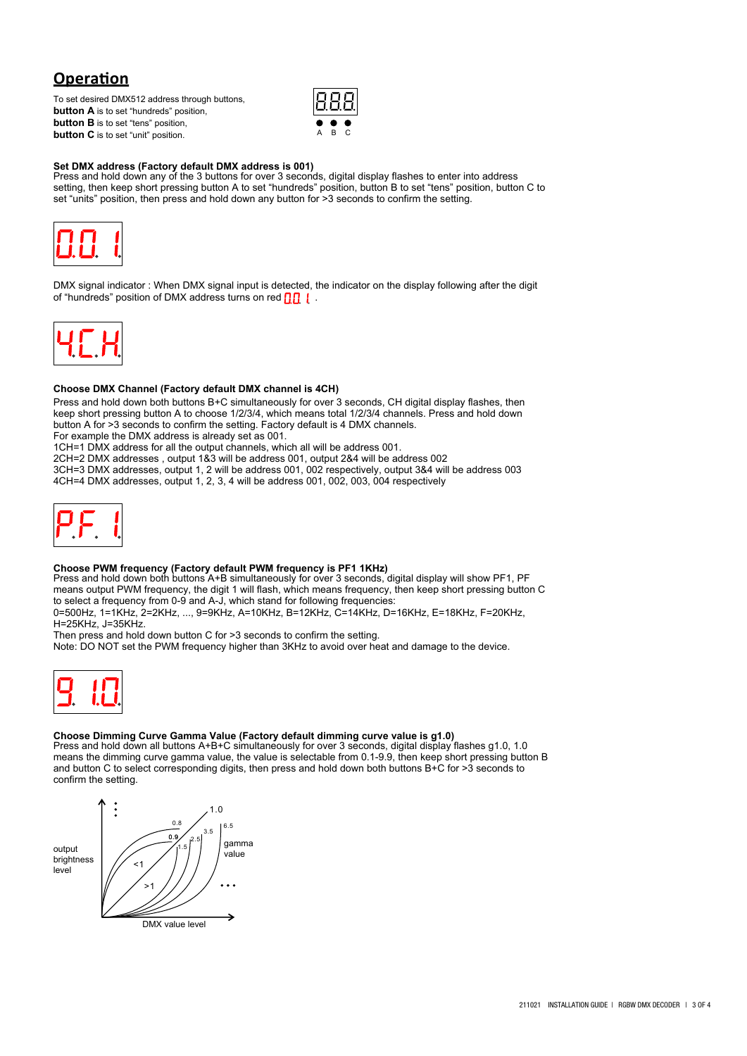# **Operation**

To set desired DMX512 address through buttons, **button A** is to set "hundreds" position, **button B** is to set "tens" position, **button C** is to set "unit" position.



**Set DMX address (Factory default DMX address is 001)** Press and hold down any of the 3 buttons for over 3 seconds, digital display flashes to enter into address setting, then keep short pressing button A to set "hundreds" position, button B to set "tens" position, button C to set "units" position, then press and hold down any button for >3 seconds to confirm the setting.



DMX signal indicator : When DMX signal input is detected, the indicator on the display following after the digit of "hundreds" position of DMX address turns on red  $\prod$  .



### **Choose DMX Channel (Factory default DMX channel is 4CH)**

Press and hold down both buttons B+C simultaneously for over 3 seconds, CH digital display flashes, then keep short pressing button A to choose 1/2/3/4, which means total 1/2/3/4 channels. Press and hold down button A for >3 seconds to confirm the setting. Factory default is 4 DMX channels.

For example the DMX address is already set as 001.

1CH=1 DMX address for all the output channels, which all will be address 001.

2CH=2 DMX addresses , output 1&3 will be address 001, output 2&4 will be address 002

3CH=3 DMX addresses, output 1, 2 will be address 001, 002 respectively, output 3&4 will be address 003 4CH=4 DMX addresses, output 1, 2, 3, 4 will be address 001, 002, 003, 004 respectively



**Choose PWM frequency (Factory default PWM frequency is PF1 1KHz)**<br>Press and hold down both buttons A+B simultaneously for over 3 seconds, digital display will show PF1, PF means output PWM frequency, the digit 1 will flash, which means frequency, then keep short pressing button C to select a frequency from 0-9 and A-J, which stand for following frequencies:

0=500Hz, 1=1KHz, 2=2KHz, ..., 9=9KHz, A=10KHz, B=12KHz, C=14KHz, D=16KHz, E=18KHz, F=20KHz, H=25KHz, J=35KHz.

Then press and hold down button C for >3 seconds to confirm the setting.

Note: DO NOT set the PWM frequency higher than 3KHz to avoid over heat and damage to the device.



### **Choose Dimming Curve Gamma Value (Factory default dimming curve value is g1.0)**

Press and hold down all buttons A+B+C simultaneously for over 3 seconds, digital display flashes g1.0, 1.0 means the dimming curve gamma value, the value is selectable from 0.1-9.9, then keep short pressing button B and button C to select corresponding digits, then press and hold down both buttons B+C for >3 seconds to confirm the setting.